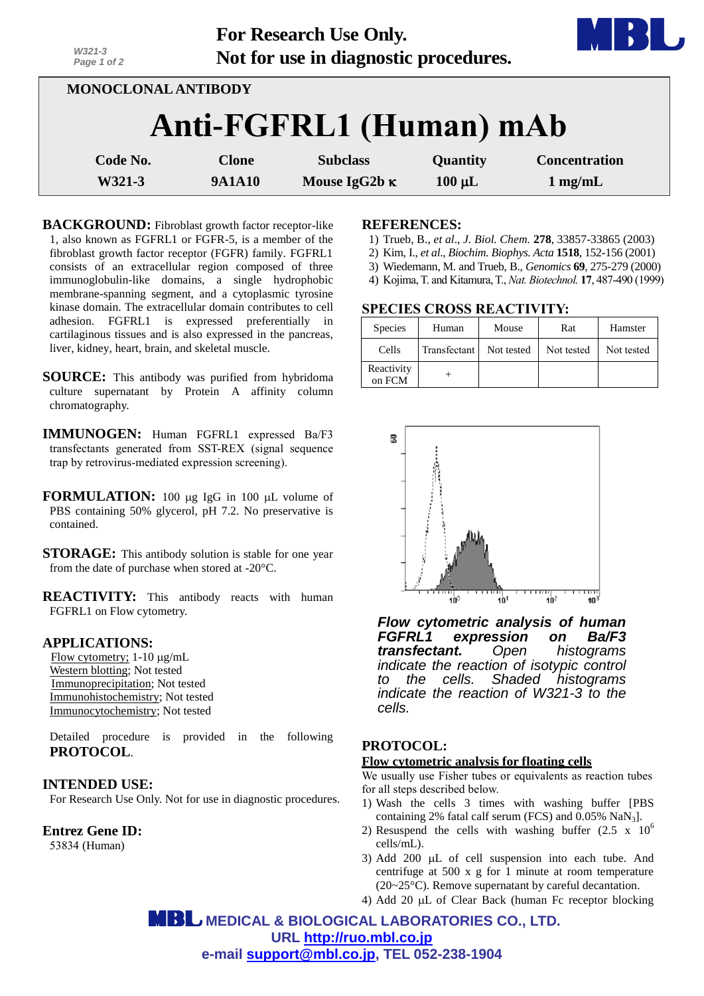| $W321 - 3$<br>Page 1 of 2 |               | <b>For Research Use Only.</b><br>Not for use in diagnostic procedures. |             |                      |  |
|---------------------------|---------------|------------------------------------------------------------------------|-------------|----------------------|--|
| MONOCLONAL ANTIBODY       |               |                                                                        |             |                      |  |
|                           |               | Anti-FGFRL1 (Human) mAb                                                |             |                      |  |
| Code No.                  | <b>Clone</b>  | <b>Subclass</b>                                                        | Quantity    | <b>Concentration</b> |  |
| W321-3                    | <b>9A1A10</b> | Mouse IgG2b $\kappa$                                                   | $100 \mu L$ | $1$ mg/mL            |  |

**BACKGROUND:** Fibroblast growth factor receptor-like 1, also known as FGFRL1 or FGFR-5, is a member of the fibroblast growth factor receptor (FGFR) family. FGFRL1 consists of an extracellular region composed of three immunoglobulin-like domains, a single hydrophobic membrane-spanning segment, and a cytoplasmic tyrosine kinase domain. The extracellular domain contributes to cell adhesion. FGFRL1 is expressed preferentially in cartilaginous tissues and is also expressed in the pancreas, liver, kidney, heart, brain, and skeletal muscle.

**SOURCE:** This antibody was purified from hybridoma culture supernatant by Protein A affinity column chromatography.

**IMMUNOGEN:** Human FGFRL1 expressed Ba/F3 transfectants generated from SST-REX (signal sequence trap by retrovirus-mediated expression screening).

**FORMULATION:** 100 µg IgG in 100 µL volume of PBS containing 50% glycerol, pH 7.2. No preservative is contained.

**STORAGE:** This antibody solution is stable for one year from the date of purchase when stored at -20°C.

**REACTIVITY:** This antibody reacts with human FGFRL1 on Flow cytometry.

### **APPLICATIONS:**

Flow cytometry;  $1-10 \mu g/mL$ Western blotting; Not tested Immunoprecipitation; Not tested Immunohistochemistry; Not tested Immunocytochemistry; Not tested

Detailed procedure is provided in the following **PROTOCOL**.

#### **INTENDED USE:**

For Research Use Only. Not for use in diagnostic procedures.

**Entrez Gene ID:**

53834 (Human)

#### **REFERENCES:**

- 1) Trueb, B., *et al*., *J. Biol. Chem.* **278**, 33857-33865 (2003)
- 2) Kim, I., *et al*., *Biochim. Biophys. Acta* **1518**, 152-156 (2001)
- 3) Wiedemann, M. and Trueb, B., *Genomics* **69**, 275-279 (2000)
- 4) [Kojima,](http://www.ncbi.nlm.nih.gov/pubmed?term=Kojima%20T%5BAuthor%5D&cauthor=true&cauthor_uid=10331810) T. an[d Kitamura,T.,](http://www.ncbi.nlm.nih.gov/pubmed?term=Kitamura%20T%5BAuthor%5D&cauthor=true&cauthor_uid=10331810) *Nat. Biotechnol.* **17**, 487-490 (1999)

#### **SPECIES CROSS REACTIVITY:**

| <b>Species</b>       | Human        | Mouse      | Rat        | Hamster    |
|----------------------|--------------|------------|------------|------------|
| Cells                | Transfectant | Not tested | Not tested | Not tested |
| Reactivity<br>on FCM |              |            |            |            |



*Flow cytometric analysis of human FGFRL1 expression on Ba/F3 transfectant. Open histograms indicate the reaction of isotypic control to the cells. Shaded histograms indicate the reaction of W321-3 to the cells.*

# **PROTOCOL:**

## **Flow cytometric analysis for floating cells**

We usually use Fisher tubes or equivalents as reaction tubes for all steps described below.

- 1) Wash the cells 3 times with washing buffer [PBS containing 2% fatal calf serum (FCS) and 0.05% NaN3].
- 2) Resuspend the cells with washing buffer  $(2.5 \times 10^6$ cells/mL).
- 3) Add 200  $\mu$ L of cell suspension into each tube. And centrifuge at 500 x g for 1 minute at room temperature (20~25°C). Remove supernatant by careful decantation.
- 4) Add 20  $\mu$ L of Clear Back (human Fc receptor blocking

 **MEDICAL & BIOLOGICAL LABORATORIES CO., LTD. URL [http://ruo.mbl.co.jp](http://ruo.mbl.co.jp/) e-mail [support@mbl.co.jp,](mailto:support@mbl.co.jp) TEL 052-238-1904**